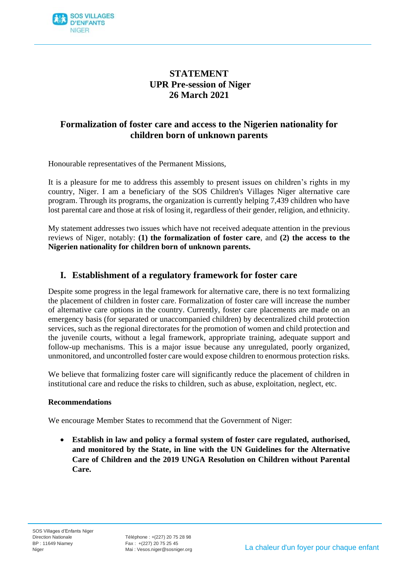

# **STATEMENT UPR Pre-session of Niger 26 March 2021**

# **Formalization of foster care and access to the Nigerien nationality for children born of unknown parents**

Honourable representatives of the Permanent Missions,

It is a pleasure for me to address this assembly to present issues on children's rights in my country, Niger. I am a beneficiary of the SOS Children's Villages Niger alternative care program. Through its programs, the organization is currently helping 7,439 children who have lost parental care and those at risk of losing it, regardless of their gender, religion, and ethnicity.

My statement addresses two issues which have not received adequate attention in the previous reviews of Niger, notably: **(1) the formalization of foster care**, and **(2) the access to the Nigerien nationality for children born of unknown parents.**

### **I. Establishment of a regulatory framework for foster care**

Despite some progress in the legal framework for alternative care, there is no text formalizing the placement of children in foster care. Formalization of foster care will increase the number of alternative care options in the country. Currently, foster care placements are made on an emergency basis (for separated or unaccompanied children) by decentralized child protection services, such as the regional directorates for the promotion of women and child protection and the juvenile courts, without a legal framework, appropriate training, adequate support and follow-up mechanisms. This is a major issue because any unregulated, poorly organized, unmonitored, and uncontrolled foster care would expose children to enormous protection risks.

We believe that formalizing foster care will significantly reduce the placement of children in institutional care and reduce the risks to children, such as abuse, exploitation, neglect, etc.

#### **Recommendations**

We encourage Member States to recommend that the Government of Niger:

• **Establish in law and policy a formal system of foster care regulated, authorised, and monitored by the State, in line with the UN Guidelines for the Alternative Care of Children and the 2019 UNGA Resolution on Children without Parental Care.**